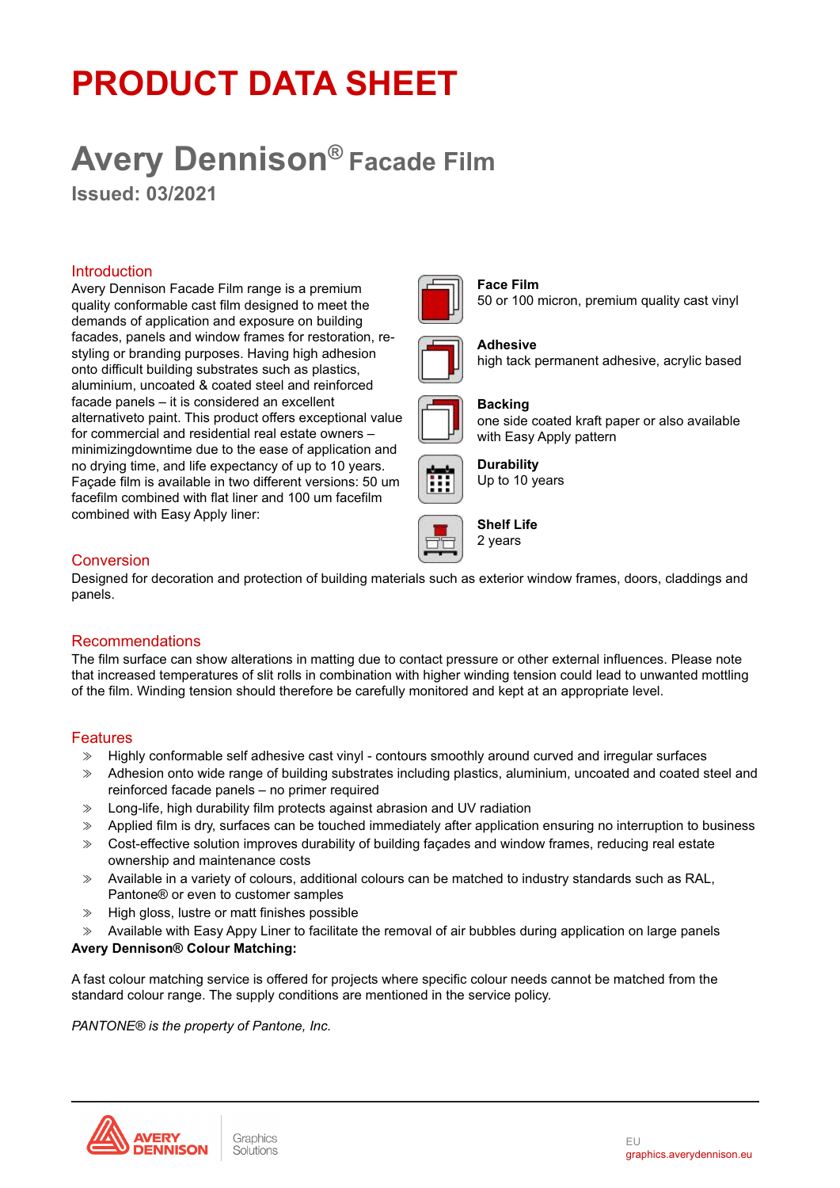# **PRODUCT DATA SHEET**

# **Avery Dennison® Facade Film**

**Issued: 03/2021**

#### Introduction

Avery Dennison Facade Film range is a premium quality conformable cast film designed to meet the demands of application and exposure on building facades, panels and window frames for restoration, restyling or branding purposes. Having high adhesion onto difficult building substrates such as plastics, aluminium, uncoated & coated steel and reinforced facade panels – it is considered an excellent alternativeto paint. This product offers exceptional value for commercial and residential real estate owners – minimizingdowntime due to the ease of application and no drying time, and life expectancy of up to 10 years. Façade film is available in two different versions: 50 um facefilm combined with flat liner and 100 um facefilm combined with Easy Apply liner:



#### **Face Film** 50 or 100 micron, premium quality cast vinyl



#### **Adhesive** high tack permanent adhesive, acrylic based



#### one side coated kraft paper or also available with Easy Apply pattern





**Shelf Life** 2 years

**Backing**

# Conversion

Designed for decoration and protection of building materials such as exterior window frames, doors, claddings and panels.

# Recommendations

The film surface can show alterations in matting due to contact pressure or other external influences. Please note that increased temperatures of slit rolls in combination with higher winding tension could lead to unwanted mottling of the film. Winding tension should therefore be carefully monitored and kept at an appropriate level.

# Features

- ≫ Highly conformable self adhesive cast vinyl contours smoothly around curved and irregular surfaces
- ≫ Adhesion onto wide range of building substrates including plastics, aluminium, uncoated and coated steel and reinforced facade panels – no primer required
- ≫ Long-life, high durability film protects against abrasion and UV radiation
- ≫ Applied film is dry, surfaces can be touched immediately after application ensuring no interruption to business
- ≫ Cost-effective solution improves durability of building façades and window frames, reducing real estate ownership and maintenance costs
- ≫ Available in a variety of colours, additional colours can be matched to industry standards such as RAL, Pantone® or even to customer samples
- ≫ High gloss, lustre or matt finishes possible
- ≫ Available with Easy Appy Liner to facilitate the removal of air bubbles during application on large panels

#### **Avery Dennison® Colour Matching:**

A fast colour matching service is offered for projects where specific colour needs cannot be matched from the standard colour range. The supply conditions are mentioned in the service policy.

*PANTONE® is the property of Pantone, Inc.*

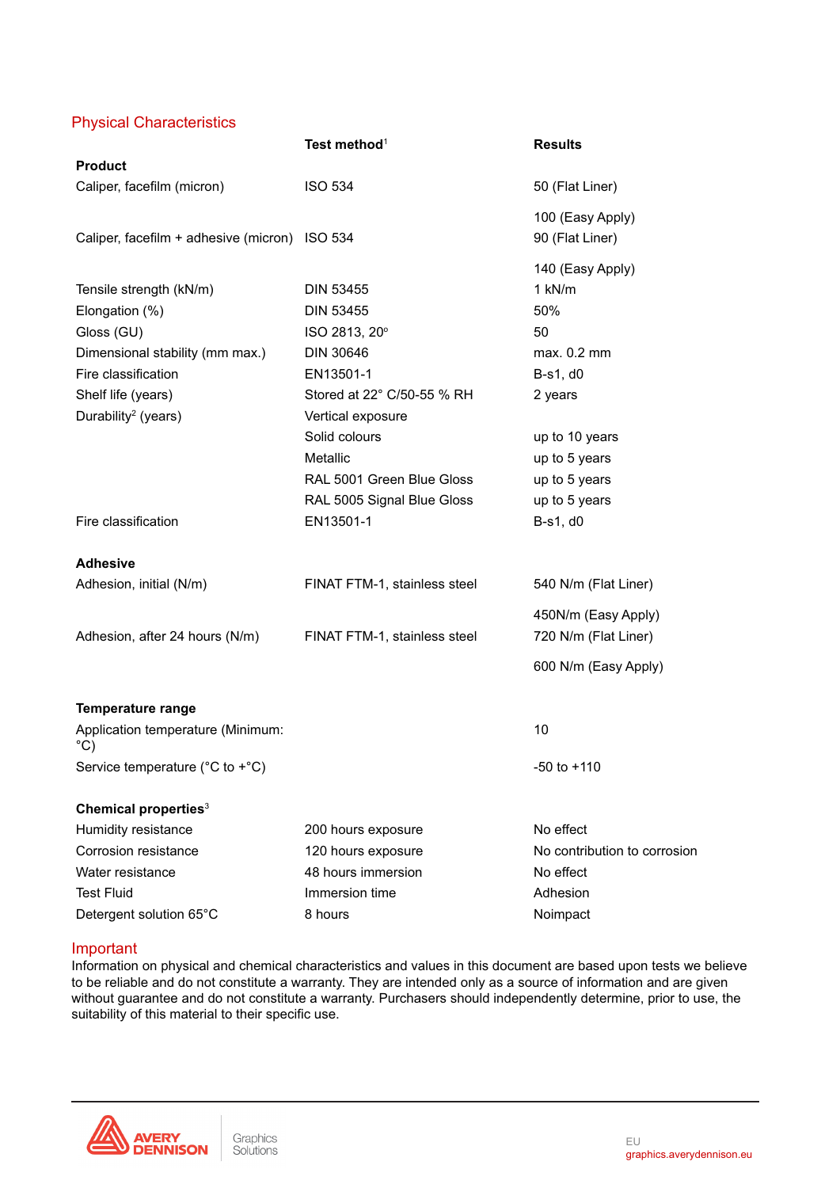# Physical Characteristics

|                                                    | Test method <sup>1</sup>     | <b>Results</b>               |
|----------------------------------------------------|------------------------------|------------------------------|
| <b>Product</b>                                     |                              |                              |
| Caliper, facefilm (micron)                         | <b>ISO 534</b>               | 50 (Flat Liner)              |
|                                                    |                              | 100 (Easy Apply)             |
| Caliper, facefilm + adhesive (micron) ISO 534      |                              | 90 (Flat Liner)              |
|                                                    |                              | 140 (Easy Apply)             |
| Tensile strength (kN/m)                            | <b>DIN 53455</b>             | 1 kN/m                       |
| Elongation (%)                                     | <b>DIN 53455</b>             | 50%                          |
| Gloss (GU)                                         | ISO 2813, 20°                | 50                           |
| Dimensional stability (mm max.)                    | DIN 30646                    | max. 0.2 mm                  |
| Fire classification                                | EN13501-1                    | B-s1, d0                     |
| Shelf life (years)                                 | Stored at 22° C/50-55 % RH   | 2 years                      |
| Durability <sup>2</sup> (years)                    | Vertical exposure            |                              |
|                                                    | Solid colours                | up to 10 years               |
|                                                    | Metallic                     | up to 5 years                |
|                                                    | RAL 5001 Green Blue Gloss    | up to 5 years                |
|                                                    | RAL 5005 Signal Blue Gloss   | up to 5 years                |
| Fire classification                                | EN13501-1                    | B-s1, d0                     |
| <b>Adhesive</b>                                    |                              |                              |
| Adhesion, initial (N/m)                            | FINAT FTM-1, stainless steel | 540 N/m (Flat Liner)         |
|                                                    |                              | 450N/m (Easy Apply)          |
| Adhesion, after 24 hours (N/m)                     | FINAT FTM-1, stainless steel | 720 N/m (Flat Liner)         |
|                                                    |                              | 600 N/m (Easy Apply)         |
| <b>Temperature range</b>                           |                              |                              |
| Application temperature (Minimum:<br>$^{\circ}$ C) |                              | 10                           |
| Service temperature (°C to +°C)                    |                              | -50 to +110                  |
| Chemical properties <sup>3</sup>                   |                              |                              |
| Humidity resistance                                | 200 hours exposure           | No effect                    |
| Corrosion resistance                               | 120 hours exposure           | No contribution to corrosion |
| Water resistance                                   | 48 hours immersion           | No effect                    |
| <b>Test Fluid</b>                                  | Immersion time               | Adhesion                     |
| Detergent solution 65°C                            | 8 hours                      | Noimpact                     |

#### Important

Information on physical and chemical characteristics and values in this document are based upon tests we believe to be reliable and do not constitute a warranty. They are intended only as a source of information and are given without guarantee and do not constitute a warranty. Purchasers should independently determine, prior to use, the suitability of this material to their specific use.